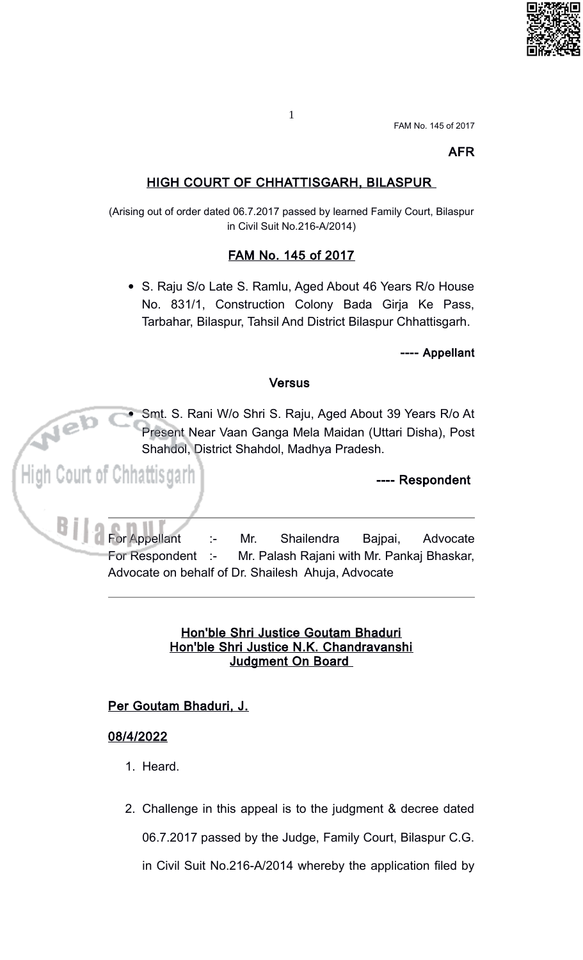

## **AFR**

# **HIGH COURT OF CHHATTISGARH, BILASPUR**

(Arising out of order dated 06.7.2017 passed by learned Family Court, Bilaspur in Civil Suit No.216-A/2014)

### FAM No. 145 of 2017

• S. Raju S/o Late S. Ramlu, Aged About 46 Years R/o House No. 831/1, Construction Colony Bada Girja Ke Pass, Tarbahar, Bilaspur, Tahsil And District Bilaspur Chhattisgarh.

---- Appellant

#### **Versus**

Smt. S. Rani W/o Shri S. Raju, Aged About 39 Years R/o At Present Near Vaan Ganga Mela Maidan (Uttari Disha), Post Shahdol, District Shahdol, Madhya Pradesh.

---- Respondent

**For Appellant** Mr. Shailendra Bajpai, Advocate  $\ddot{\phantom{a}}$ For Respondent :-Mr. Palash Rajani with Mr. Pankaj Bhaskar, Advocate on behalf of Dr. Shailesh Ahuja, Advocate

### Hon'ble Shri Justice Goutam Bhaduri Hon'ble Shri Justice N.K. Chandravanshi Judgment On Board

### Per Goutam Bhaduri, J.

### 08/4/2022

ourt of Chhattisgarh

 $e^{b}$ 

- 1. Heard.
- 2. Challenge in this appeal is to the judgment & decree dated 06.7.2017 passed by the Judge, Family Court, Bilaspur C.G.

in Civil Suit No.216-A/2014 whereby the application filed by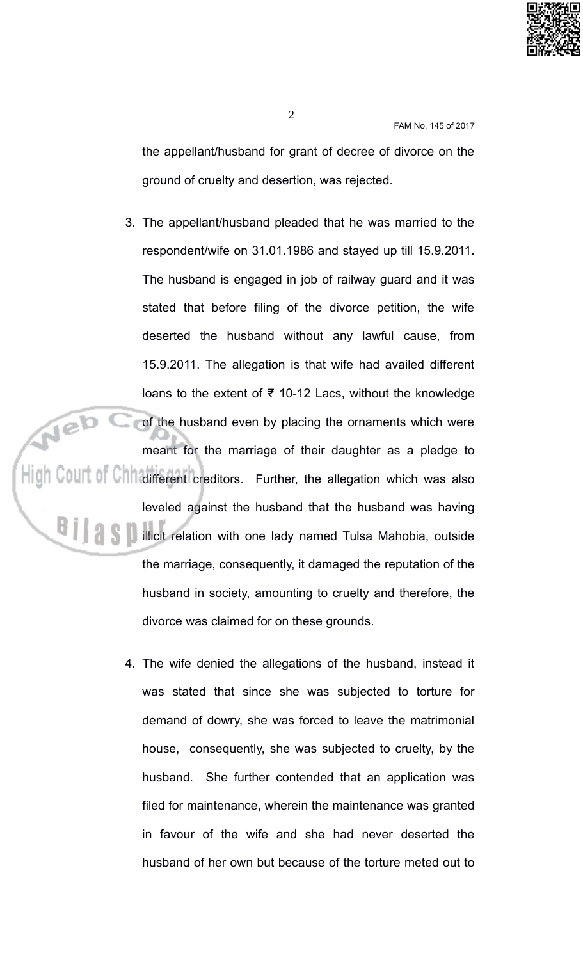

the appellant/husband for grant of decree of divorce on the ground of cruelty and desertion, was rejected.

- 3. The appellant/husband pleaded that he was married to the respondent/wife on 31.01.1986 and stayed up till 15.9.2011. The husband is engaged in job of railway guard and it was stated that before filing of the divorce petition, the wife deserted the husband without any lawful cause, from 15.9.2011. The allegation is that wife had availed different loans to the extent of  $\overline{\epsilon}$  10-12 Lacs, without the knowledge of the husband even by placing the ornaments which were meant for the marriage of their daughter as a pledge to High Court of Chhaifferent creditors. Further, the allegation which was also leveled against the husband that the husband was having illicit relation with one lady named Tulsa Mahobia, outside the marriage, consequently, it damaged the reputation of the husband in society, amounting to cruelty and therefore, the divorce was claimed for on these grounds.
	- 4. The wife denied the allegations of the husband, instead it was stated that since she was subjected to torture for demand of dowry, she was forced to leave the matrimonial house, consequently, she was subjected to cruelty, by the husband. She further contended that an application was filed for maintenance, wherein the maintenance was granted in favour of the wife and she had never deserted the husband of her own but because of the torture meted out to

 $\overline{2}$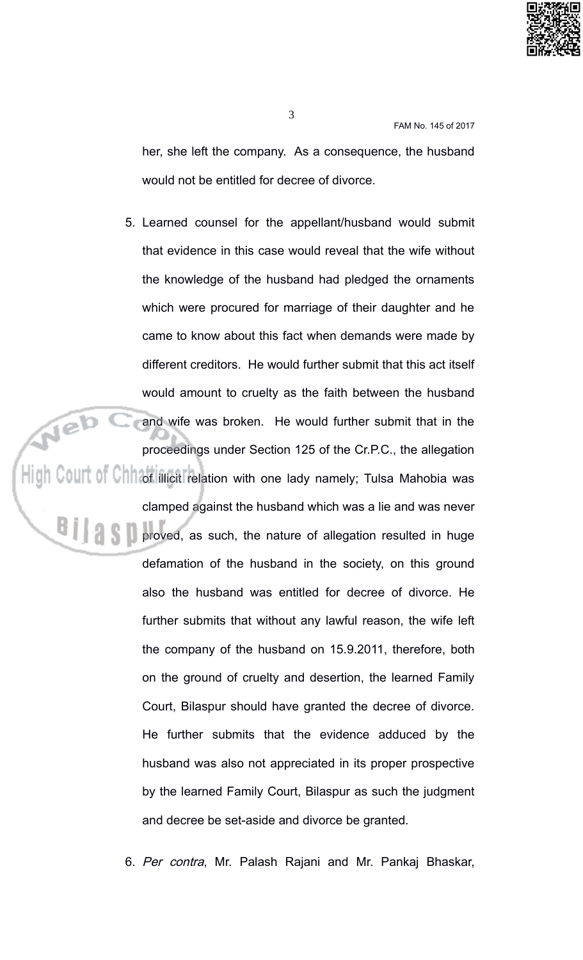

her, she left the company. As a consequence, the husband would not be entitled for decree of divorce.

5. Learned counsel for the appellant/husband would submit that evidence in this case would reveal that the wife without the knowledge of the husband had pledged the ornaments which were procured for marriage of their daughter and he came to know about this fact when demands were made by different creditors. He would further submit that this act itself would amount to cruelty as the faith between the husband and wife was broken. He would further submit that in the proceedings under Section 125 of the Cr.P.C., the allegation High Court of Chill of illicit relation with one lady namely; Tulsa Mahobia was

> clamped against the husband which was a lie and was never proved, as such, the nature of allegation resulted in huge defamation of the husband in the society, on this ground also the husband was entitled for decree of divorce. He further submits that without any lawful reason, the wife left the company of the husband on 15.9.2011, therefore, both on the ground of cruelty and desertion, the learned Family Court, Bilaspur should have granted the decree of divorce. He further submits that the evidence adduced by the husband was also not appreciated in its proper prospective by the learned Family Court, Bilaspur as such the judgment and decree be set-aside and divorce be granted.

6. Per contra, Mr. Palash Rajani and Mr. Pankaj Bhaskar,

 $\overline{3}$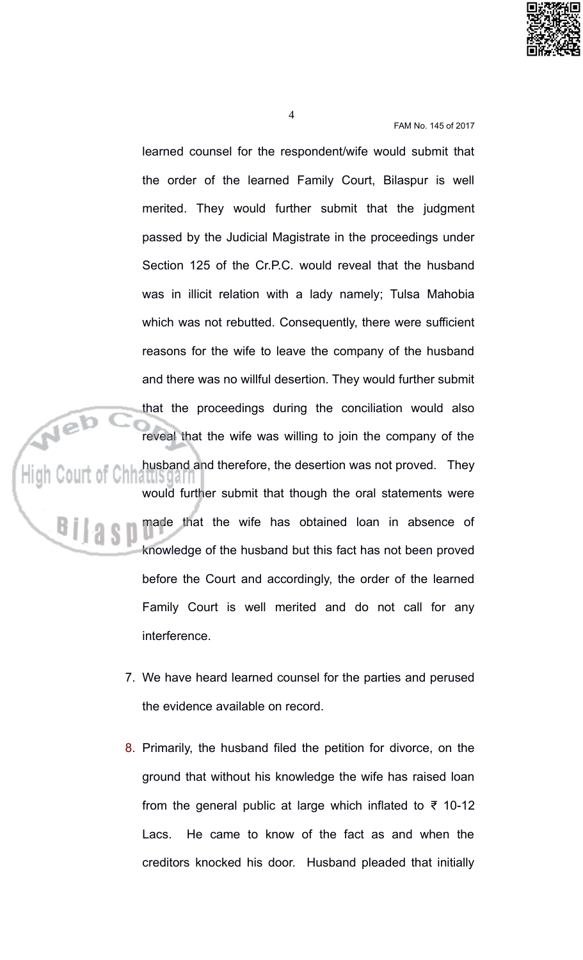

learned counsel for the respondent/wife would submit that the order of the learned Family Court, Bilaspur is well merited. They would further submit that the judgment passed by the Judicial Magistrate in the proceedings under Section 125 of the Cr.P.C. would reveal that the husband was in illicit relation with a lady namely; Tulsa Mahobia which was not rebutted. Consequently, there were sufficient reasons for the wife to leave the company of the husband and there was no willful desertion. They would further submit that the proceedings during the conciliation would also reveal that the wife was willing to join the company of the husband and therefore, the desertion was not proved. They iallioyall would further submit that though the oral statements were made that the wife has obtained loan in absence of knowledge of the husband but this fact has not been proved before the Court and accordingly, the order of the learned Family Court is well merited and do not call for any interference.

- 7. We have heard learned counsel for the parties and perused the evidence available on record.
- 8. Primarily, the husband filed the petition for divorce, on the ground that without his knowledge the wife has raised loan from the general public at large which inflated to  $\overline{z}$  10-12 He came to know of the fact as and when the Lacs. creditors knocked his door. Husband pleaded that initially

 $\overline{4}$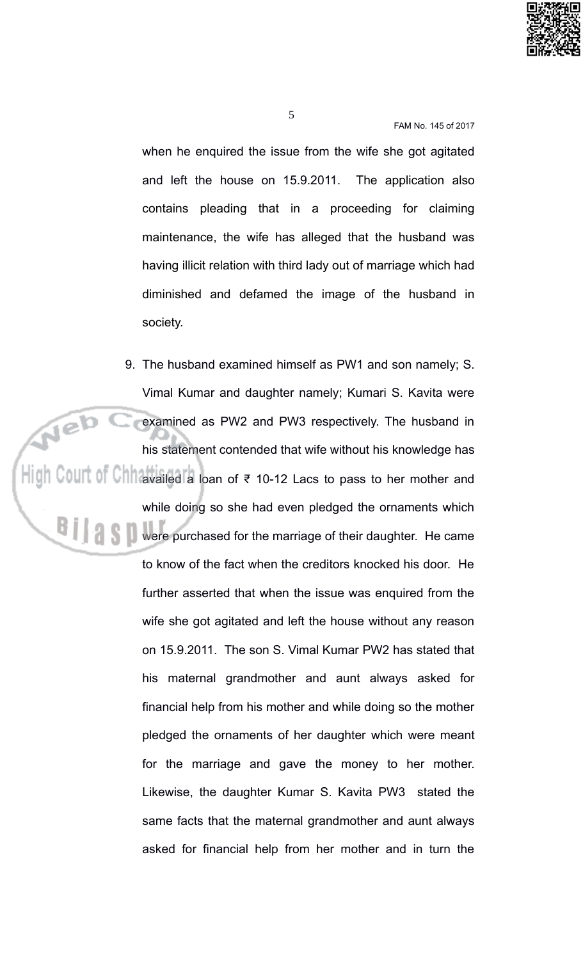

when he enquired the issue from the wife she got agitated and left the house on 15.9.2011. The application also contains pleading that in a proceeding for claiming maintenance, the wife has alleged that the husband was having illicit relation with third lady out of marriage which had diminished and defamed the image of the husband in society.

9. The husband examined himself as PW1 and son namely; S. Vimal Kumar and daughter namely; Kumari S. Kavita were Web ( examined as PW2 and PW3 respectively. The husband in his statement contended that wife without his knowledge has High Court of Chinavailed a loan of ₹ 10-12 Lacs to pass to her mother and while doing so she had even pledged the ornaments which were purchased for the marriage of their daughter. He came to know of the fact when the creditors knocked his door. He further asserted that when the issue was enquired from the wife she got agitated and left the house without any reason on 15.9.2011. The son S. Vimal Kumar PW2 has stated that his maternal grandmother and aunt always asked for financial help from his mother and while doing so the mother pledged the ornaments of her daughter which were meant for the marriage and gave the money to her mother. Likewise, the daughter Kumar S. Kavita PW3 stated the same facts that the maternal grandmother and aunt always asked for financial help from her mother and in turn the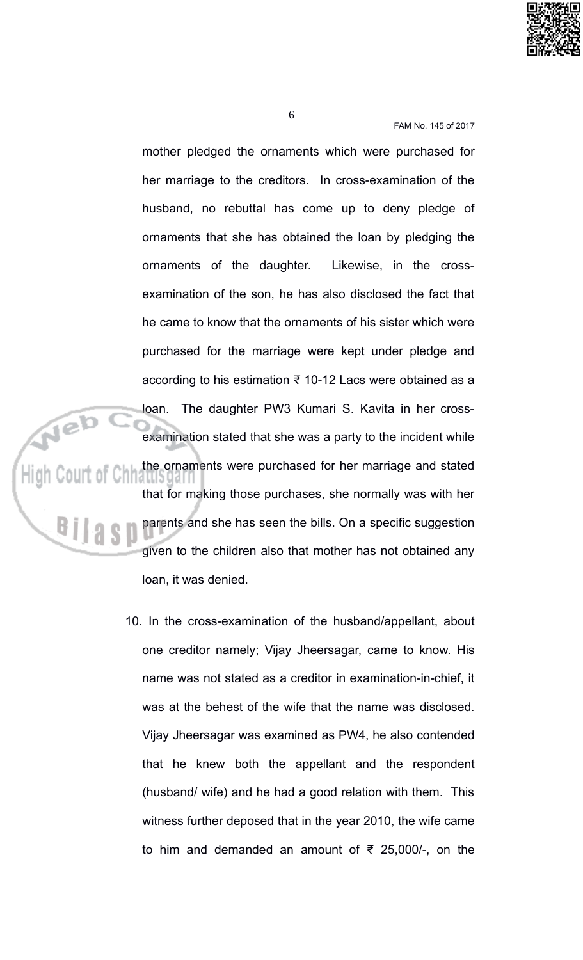

mother pledged the ornaments which were purchased for her marriage to the creditors. In cross-examination of the husband, no rebuttal has come up to deny pledge of ornaments that she has obtained the loan by pledging the ornaments of the daughter. Likewise, in the crossexamination of the son, he has also disclosed the fact that he came to know that the ornaments of his sister which were purchased for the marriage were kept under pledge and according to his estimation ₹ 10-12 Lacs were obtained as a loan. The daughter PW3 Kumari S. Kavita in her crossexamination stated that she was a party to the incident while the ornaments were purchased for her marriage and stated that for making those purchases, she normally was with her parents and she has seen the bills. On a specific suggestion given to the children also that mother has not obtained any loan, it was denied.

10. In the cross-examination of the husband/appellant, about one creditor namely; Vijay Jheersagar, came to know. His name was not stated as a creditor in examination-in-chief, it was at the behest of the wife that the name was disclosed. Vijay Jheersagar was examined as PW4, he also contended that he knew both the appellant and the respondent (husband/ wife) and he had a good relation with them. This witness further deposed that in the year 2010, the wife came to him and demanded an amount of  $\overline{\epsilon}$  25,000/-, on the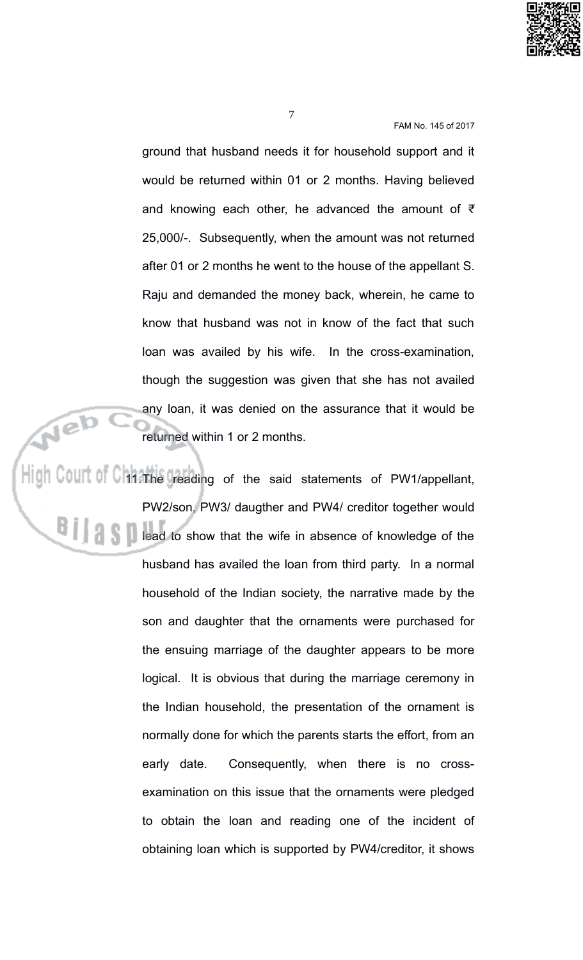

ground that husband needs it for household support and it would be returned within 01 or 2 months. Having believed and knowing each other, he advanced the amount of  $\bar{z}$ 25,000/-. Subsequently, when the amount was not returned after 01 or 2 months he went to the house of the appellant S. Raju and demanded the money back, wherein, he came to know that husband was not in know of the fact that such loan was availed by his wife. In the cross-examination, though the suggestion was given that she has not availed any loan, it was denied on the assurance that it would be returned within 1 or 2 months.

High Court of Chi The reading of the said statements of PW1/appellant, PW2/son, PW3/ daugther and PW4/ creditor together would lead to show that the wife in absence of knowledge of the husband has availed the loan from third party. In a normal household of the Indian society, the narrative made by the son and daughter that the ornaments were purchased for the ensuing marriage of the daughter appears to be more logical. It is obvious that during the marriage ceremony in the Indian household, the presentation of the ornament is normally done for which the parents starts the effort, from an Consequently, when there is no crossearly date. examination on this issue that the ornaments were pledged to obtain the loan and reading one of the incident of obtaining loan which is supported by PW4/creditor, it shows

Neb

 $\overline{7}$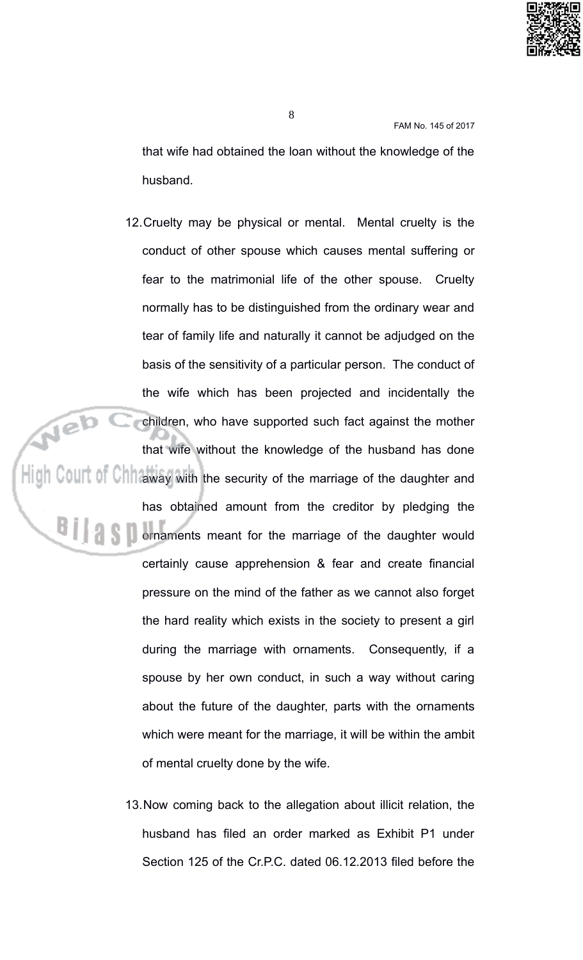

that wife had obtained the loan without the knowledge of the husband.

- 12. Cruelty may be physical or mental. Mental cruelty is the conduct of other spouse which causes mental suffering or fear to the matrimonial life of the other spouse. Cruelty normally has to be distinguished from the ordinary wear and tear of family life and naturally it cannot be adjudged on the basis of the sensitivity of a particular person. The conduct of the wife which has been projected and incidentally the Neb c children, who have supported such fact against the mother that wife without the knowledge of the husband has done High Court of Chinaway with the security of the marriage of the daughter and has obtained amount from the creditor by pledging the Somaments meant for the marriage of the daughter would certainly cause apprehension & fear and create financial pressure on the mind of the father as we cannot also forget the hard reality which exists in the society to present a girl during the marriage with ornaments. Consequently, if a spouse by her own conduct, in such a way without caring about the future of the daughter, parts with the ornaments which were meant for the marriage, it will be within the ambit of mental cruelty done by the wife.
	- 13. Now coming back to the allegation about illicit relation, the husband has filed an order marked as Exhibit P1 under Section 125 of the Cr.P.C. dated 06.12.2013 filed before the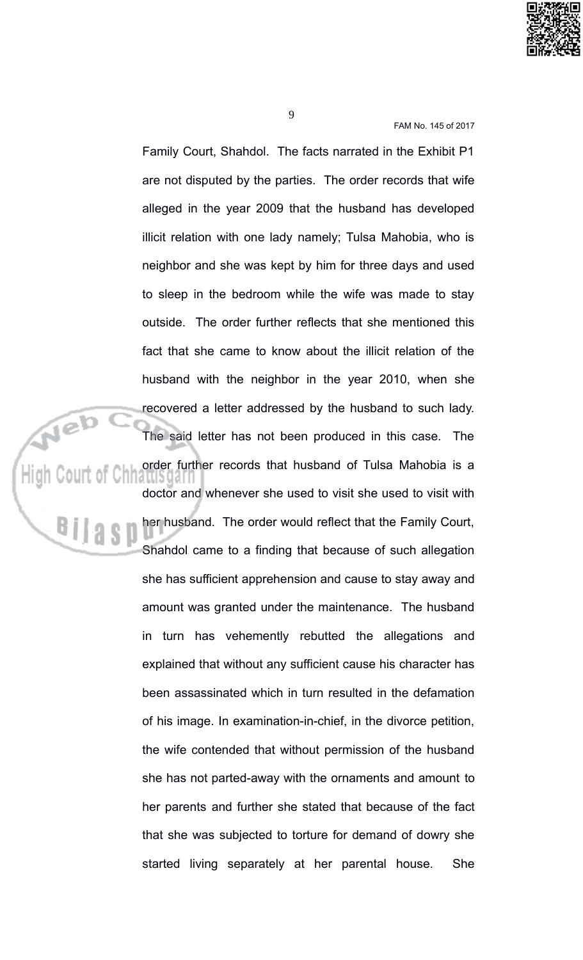

Family Court, Shahdol. The facts narrated in the Exhibit P1 are not disputed by the parties. The order records that wife alleged in the year 2009 that the husband has developed illicit relation with one lady namely; Tulsa Mahobia, who is neighbor and she was kept by him for three days and used to sleep in the bedroom while the wife was made to stay outside. The order further reflects that she mentioned this fact that she came to know about the illicit relation of the husband with the neighbor in the year 2010, when she recovered a letter addressed by the husband to such lady. High Court of Chhamsoder fun The said letter has not been produced in this case. The

order further records that husband of Tulsa Mahobia is a

doctor and whenever she used to visit she used to visit with her husband. The order would reflect that the Family Court, Shahdol came to a finding that because of such allegation she has sufficient apprehension and cause to stay away and amount was granted under the maintenance. The husband in turn has vehemently rebutted the allegations and explained that without any sufficient cause his character has been assassinated which in turn resulted in the defamation of his image. In examination-in-chief, in the divorce petition, the wife contended that without permission of the husband she has not parted-away with the ornaments and amount to her parents and further she stated that because of the fact that she was subjected to torture for demand of dowry she started living separately at her parental house. She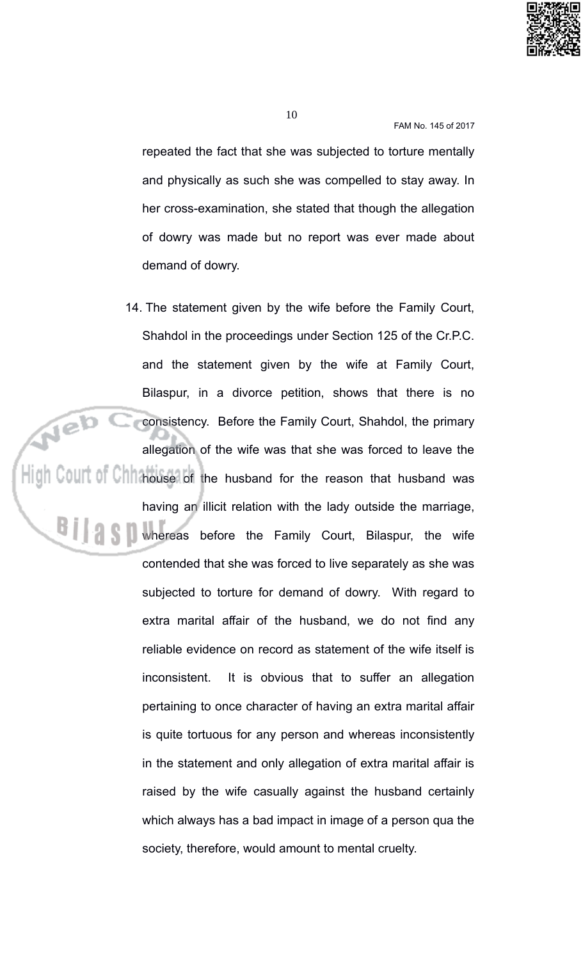

10

FAM No. 145 of 2017

repeated the fact that she was subjected to torture mentally and physically as such she was compelled to stay away. In her cross-examination, she stated that though the allegation of dowry was made but no report was ever made about demand of dowry.

14. The statement given by the wife before the Family Court, Shahdol in the proceedings under Section 125 of the Cr.P.C. and the statement given by the wife at Family Court, Bilaspur, in a divorce petition, shows that there is no consistency. Before the Family Court, Shahdol, the primary allegation of the wife was that she was forced to leave the High Court of Chh house of the husband for the reason that husband was having an illicit relation with the lady outside the marriage, Whereas before the Family Court, Bilaspur, the wife contended that she was forced to live separately as she was subjected to torture for demand of dowry. With regard to extra marital affair of the husband, we do not find any reliable evidence on record as statement of the wife itself is inconsistent. It is obvious that to suffer an allegation pertaining to once character of having an extra marital affair is quite tortuous for any person and whereas inconsistently in the statement and only allegation of extra marital affair is raised by the wife casually against the husband certainly which always has a bad impact in image of a person qua the society, therefore, would amount to mental cruelty.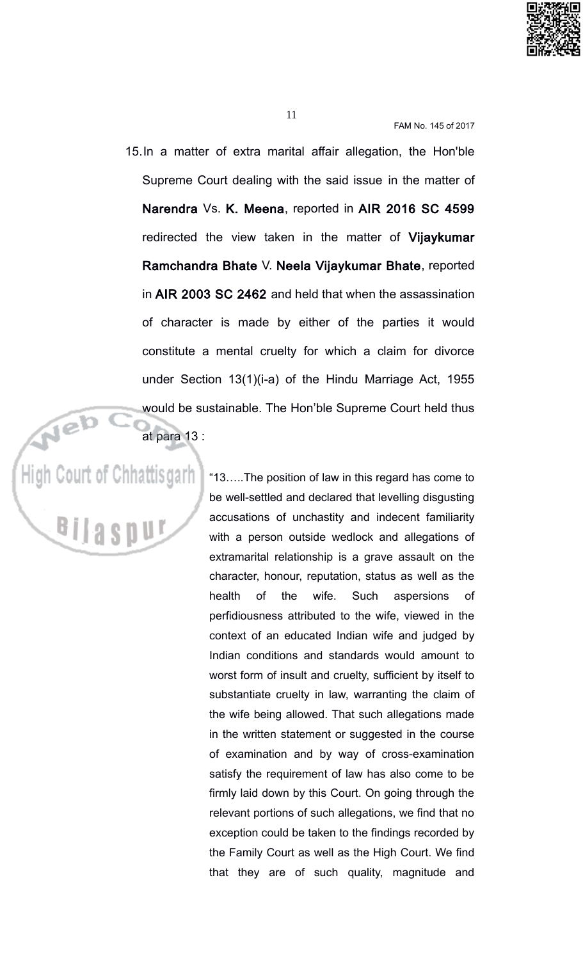

11

FAM No. 145 of 2017

15. In a matter of extra marital affair allegation, the Hon'ble Supreme Court dealing with the said issue in the matter of Narendra Vs. K. Meena, reported in AIR 2016 SC 4599 redirected the view taken in the matter of Vijaykumar Ramchandra Bhate V. Neela Vijaykumar Bhate, reported in AIR 2003 SC 2462 and held that when the assassination of character is made by either of the parties it would constitute a mental cruelty for which a claim for divorce under Section 13(1)(i-a) of the Hindu Marriage Act, 1955 would be sustainable. The Hon'ble Supreme Court held thus at para 13 :

High Court of Chhattisgarh

"13.....The position of law in this regard has come to be well-settled and declared that levelling disgusting accusations of unchastity and indecent familiarity with a person outside wedlock and allegations of extramarital relationship is a grave assault on the character, honour, reputation, status as well as the health  $\mathsf{of}$ the wife Such aspersions of perfidiousness attributed to the wife, viewed in the context of an educated Indian wife and judged by Indian conditions and standards would amount to worst form of insult and cruelty, sufficient by itself to substantiate cruelty in law, warranting the claim of the wife being allowed. That such allegations made in the written statement or suggested in the course of examination and by way of cross-examination satisfy the requirement of law has also come to be firmly laid down by this Court. On going through the relevant portions of such allegations, we find that no exception could be taken to the findings recorded by the Family Court as well as the High Court. We find that they are of such quality, magnitude and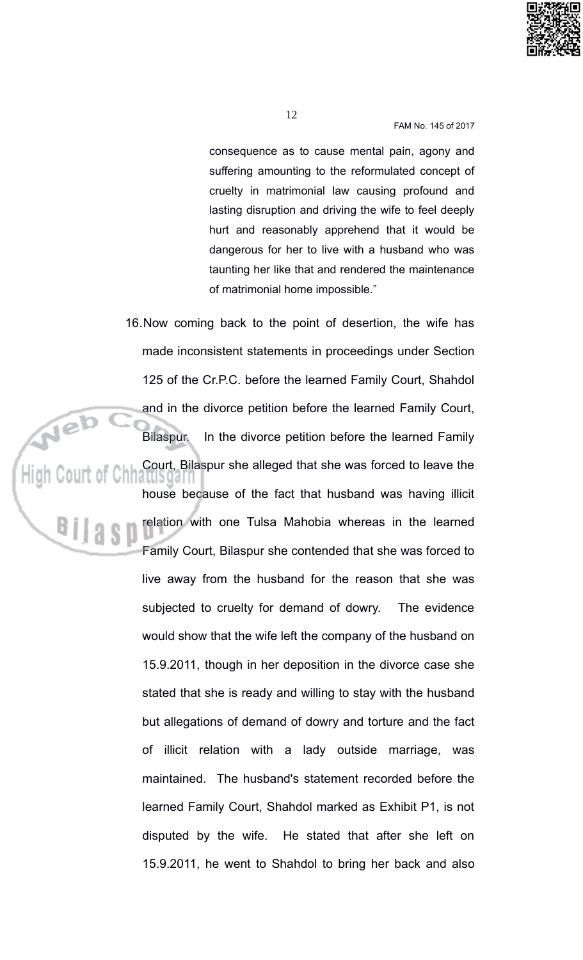

consequence as to cause mental pain, agony and suffering amounting to the reformulated concept of cruelty in matrimonial law causing profound and lasting disruption and driving the wife to feel deeply hurt and reasonably apprehend that it would be dangerous for her to live with a husband who was taunting her like that and rendered the maintenance of matrimonial home impossible."

16. Now coming back to the point of desertion, the wife has made inconsistent statements in proceedings under Section 125 of the Cr.P.C. before the learned Family Court, Shahdol and in the divorce petition before the learned Family Court, Bilaspur. In the divorce petition before the learned Family Court, Bilaspur she alleged that she was forced to leave the house because of the fact that husband was having illicit relation with one Tulsa Mahobia whereas in the learned Family Court, Bilaspur she contended that she was forced to live away from the husband for the reason that she was subjected to cruelty for demand of dowry. The evidence would show that the wife left the company of the husband on 15.9.2011, though in her deposition in the divorce case she stated that she is ready and willing to stay with the husband but allegations of demand of dowry and torture and the fact of illicit relation with a lady outside marriage, was maintained. The husband's statement recorded before the learned Family Court, Shahdol marked as Exhibit P1, is not disputed by the wife. He stated that after she left on 15.9.2011, he went to Shahdol to bring her back and also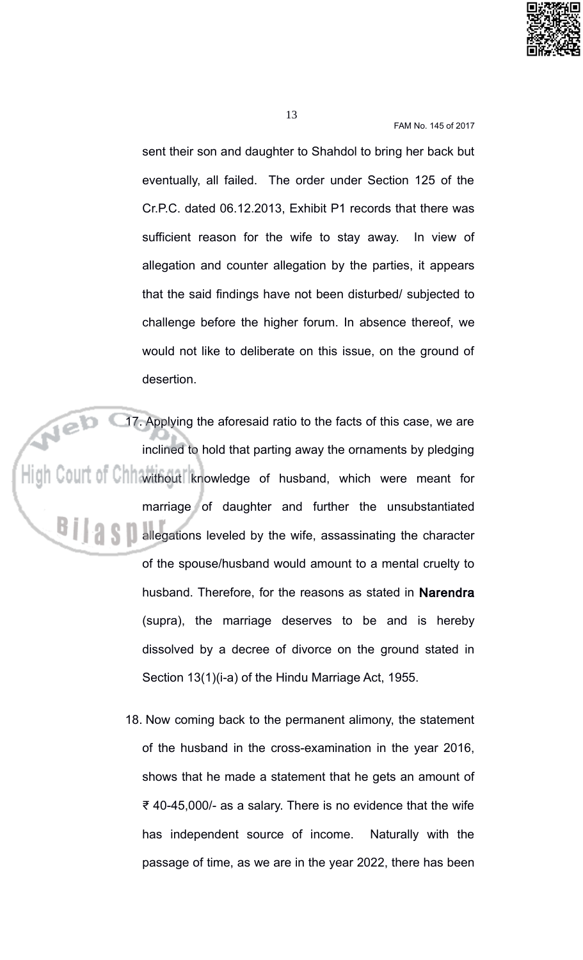

sent their son and daughter to Shahdol to bring her back but eventually, all failed. The order under Section 125 of the Cr.P.C. dated 06.12.2013, Exhibit P1 records that there was sufficient reason for the wife to stay away. In view of allegation and counter allegation by the parties, it appears that the said findings have not been disturbed/ subjected to challenge before the higher forum. In absence thereof, we would not like to deliberate on this issue, on the ground of desertion.

17. Applying the aforesaid ratio to the facts of this case, we are inclined to hold that parting away the ornaments by pledging High Court of Chhwithout knowledge of husband, which were meant for marriage of daughter and further the unsubstantiated **All allegations leveled by the wife, assassinating the character** of the spouse/husband would amount to a mental cruelty to husband. Therefore, for the reasons as stated in Narendra (supra), the marriage deserves to be and is hereby dissolved by a decree of divorce on the ground stated in Section 13(1)(i-a) of the Hindu Marriage Act, 1955.

> 18. Now coming back to the permanent alimony, the statement of the husband in the cross-examination in the year 2016, shows that he made a statement that he gets an amount of ₹40-45,000/- as a salary. There is no evidence that the wife has independent source of income. Naturally with the passage of time, as we are in the year 2022, there has been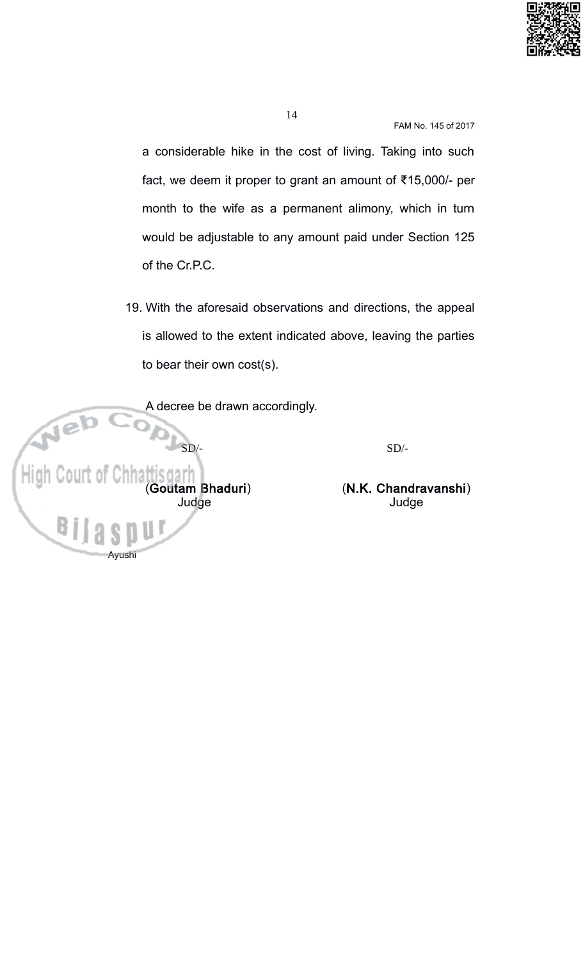

14

FAM No. 145 of 2017

a considerable hike in the cost of living. Taking into such fact, we deem it proper to grant an amount of ₹15,000/- per month to the wife as a permanent alimony, which in turn would be adjustable to any amount paid under Section 125 of the Cr.P.C.

19. With the aforesaid observations and directions, the appeal is allowed to the extent indicated above, leaving the parties to bear their own cost(s).

A decree be drawn accordingly. High C (Goutam Bhaduri) Judge

(N.K. Chandravanshi)

 $SD/-$ 

Judge